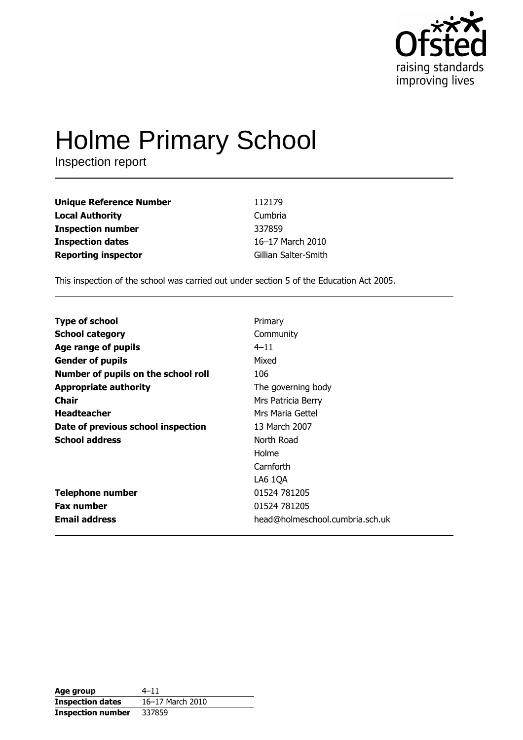

# **Holme Primary School**

Inspection report

| <b>Unique Reference Number</b> | 112179               |
|--------------------------------|----------------------|
| <b>Local Authority</b>         | Cumbria              |
| <b>Inspection number</b>       | 337859               |
| <b>Inspection dates</b>        | 16-17 March 2010     |
| <b>Reporting inspector</b>     | Gillian Salter-Smith |

This inspection of the school was carried out under section 5 of the Education Act 2005.

| <b>Type of school</b>               | Primary                         |
|-------------------------------------|---------------------------------|
| <b>School category</b>              | Community                       |
| Age range of pupils                 | $4 - 11$                        |
| <b>Gender of pupils</b>             | Mixed                           |
| Number of pupils on the school roll | 106                             |
| <b>Appropriate authority</b>        | The governing body              |
| <b>Chair</b>                        | Mrs Patricia Berry              |
| <b>Headteacher</b>                  | Mrs Maria Gettel                |
| Date of previous school inspection  | 13 March 2007                   |
| <b>School address</b>               | North Road                      |
|                                     | Holme                           |
|                                     | Carnforth                       |
|                                     | LA6 1QA                         |
| <b>Telephone number</b>             | 01524 781205                    |
| <b>Fax number</b>                   | 01524 781205                    |
| <b>Email address</b>                | head@holmeschool.cumbria.sch.uk |

| Age group                | $4 - 11$         |
|--------------------------|------------------|
| <b>Inspection dates</b>  | 16-17 March 2010 |
| <b>Inspection number</b> | 337859           |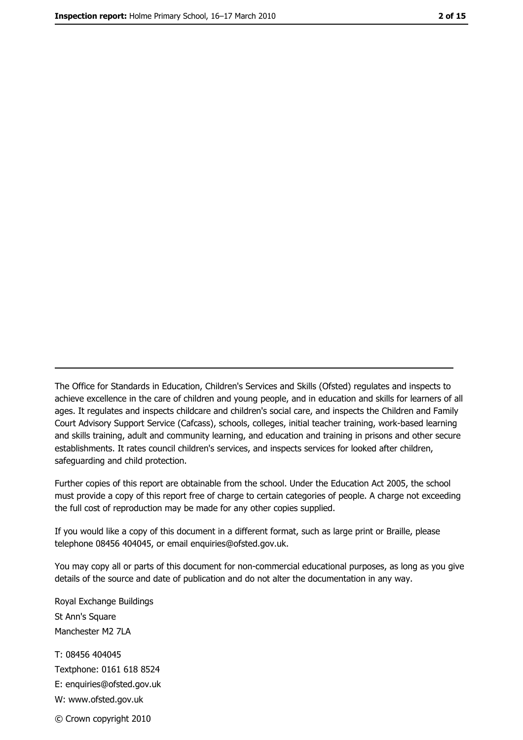The Office for Standards in Education, Children's Services and Skills (Ofsted) regulates and inspects to achieve excellence in the care of children and young people, and in education and skills for learners of all ages. It regulates and inspects childcare and children's social care, and inspects the Children and Family Court Advisory Support Service (Cafcass), schools, colleges, initial teacher training, work-based learning and skills training, adult and community learning, and education and training in prisons and other secure establishments. It rates council children's services, and inspects services for looked after children, safequarding and child protection.

Further copies of this report are obtainable from the school. Under the Education Act 2005, the school must provide a copy of this report free of charge to certain categories of people. A charge not exceeding the full cost of reproduction may be made for any other copies supplied.

If you would like a copy of this document in a different format, such as large print or Braille, please telephone 08456 404045, or email enquiries@ofsted.gov.uk.

You may copy all or parts of this document for non-commercial educational purposes, as long as you give details of the source and date of publication and do not alter the documentation in any way.

Royal Exchange Buildings St Ann's Square Manchester M2 7LA T: 08456 404045 Textphone: 0161 618 8524 E: enquiries@ofsted.gov.uk W: www.ofsted.gov.uk © Crown copyright 2010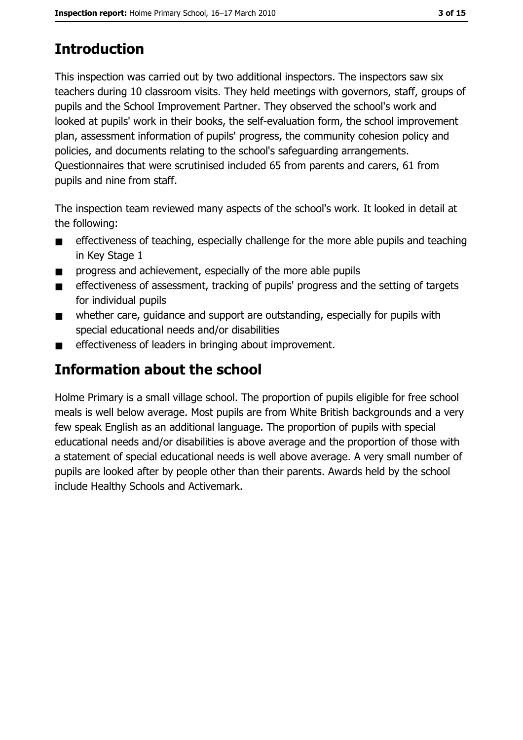# **Introduction**

This inspection was carried out by two additional inspectors. The inspectors saw six teachers during 10 classroom visits. They held meetings with governors, staff, groups of pupils and the School Improvement Partner. They observed the school's work and looked at pupils' work in their books, the self-evaluation form, the school improvement plan, assessment information of pupils' progress, the community cohesion policy and policies, and documents relating to the school's safeguarding arrangements. Questionnaires that were scrutinised included 65 from parents and carers, 61 from pupils and nine from staff.

The inspection team reviewed many aspects of the school's work. It looked in detail at the following:

- effectiveness of teaching, especially challenge for the more able pupils and teaching  $\blacksquare$ in Key Stage 1
- progress and achievement, especially of the more able pupils  $\blacksquare$
- effectiveness of assessment, tracking of pupils' progress and the setting of targets  $\blacksquare$ for individual pupils
- whether care, quidance and support are outstanding, especially for pupils with  $\blacksquare$ special educational needs and/or disabilities
- effectiveness of leaders in bringing about improvement.  $\blacksquare$

# Information about the school

Holme Primary is a small village school. The proportion of pupils eligible for free school meals is well below average. Most pupils are from White British backgrounds and a very few speak English as an additional language. The proportion of pupils with special educational needs and/or disabilities is above average and the proportion of those with a statement of special educational needs is well above average. A very small number of pupils are looked after by people other than their parents. Awards held by the school include Healthy Schools and Activemark.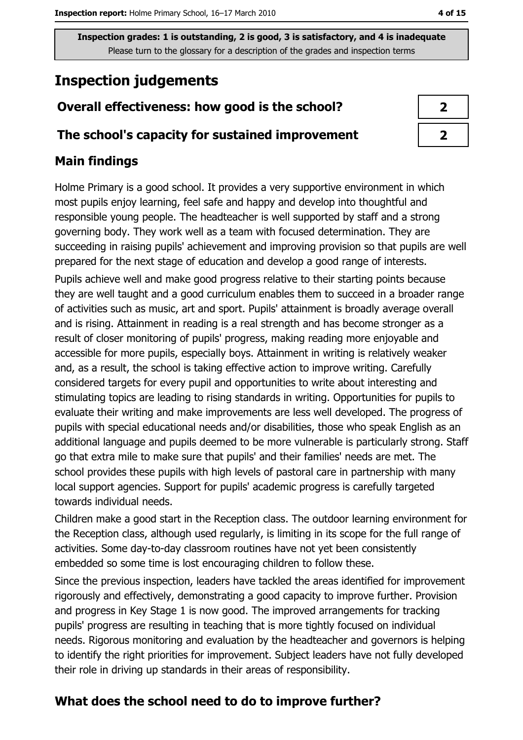## **Inspection judgements**

## Overall effectiveness: how good is the school?

#### The school's capacity for sustained improvement

#### **Main findings**

Holme Primary is a good school. It provides a very supportive environment in which most pupils enjoy learning, feel safe and happy and develop into thoughtful and responsible young people. The headteacher is well supported by staff and a strong governing body. They work well as a team with focused determination. They are succeeding in raising pupils' achievement and improving provision so that pupils are well prepared for the next stage of education and develop a good range of interests. Pupils achieve well and make good progress relative to their starting points because they are well taught and a good curriculum enables them to succeed in a broader range of activities such as music, art and sport. Pupils' attainment is broadly average overall and is rising. Attainment in reading is a real strength and has become stronger as a result of closer monitoring of pupils' progress, making reading more enjoyable and accessible for more pupils, especially boys. Attainment in writing is relatively weaker and, as a result, the school is taking effective action to improve writing. Carefully considered targets for every pupil and opportunities to write about interesting and stimulating topics are leading to rising standards in writing. Opportunities for pupils to evaluate their writing and make improvements are less well developed. The progress of pupils with special educational needs and/or disabilities, those who speak English as an additional language and pupils deemed to be more vulnerable is particularly strong. Staff go that extra mile to make sure that pupils' and their families' needs are met. The school provides these pupils with high levels of pastoral care in partnership with many local support agencies. Support for pupils' academic progress is carefully targeted towards individual needs.

Children make a good start in the Reception class. The outdoor learning environment for the Reception class, although used regularly, is limiting in its scope for the full range of activities. Some day-to-day classroom routines have not yet been consistently embedded so some time is lost encouraging children to follow these.

Since the previous inspection, leaders have tackled the areas identified for improvement rigorously and effectively, demonstrating a good capacity to improve further. Provision and progress in Key Stage 1 is now good. The improved arrangements for tracking pupils' progress are resulting in teaching that is more tightly focused on individual needs. Rigorous monitoring and evaluation by the headteacher and governors is helping to identify the right priorities for improvement. Subject leaders have not fully developed their role in driving up standards in their areas of responsibility.

## What does the school need to do to improve further?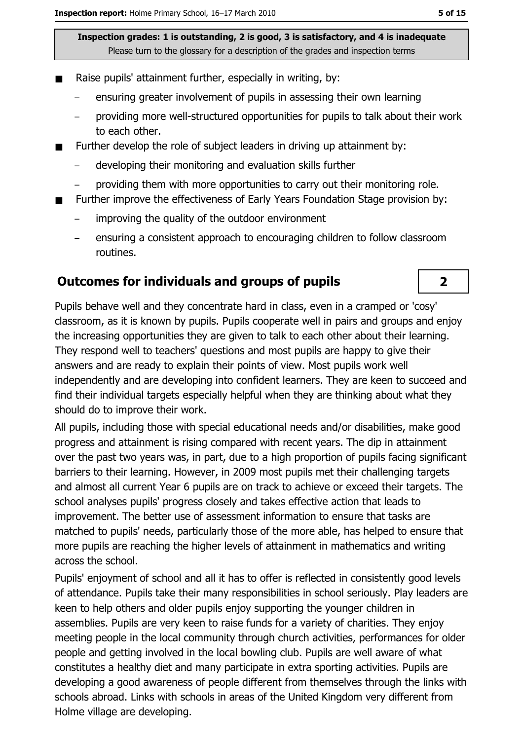- Raise pupils' attainment further, especially in writing, by:  $\blacksquare$ 
	- ensuring greater involvement of pupils in assessing their own learning
	- providing more well-structured opportunities for pupils to talk about their work to each other.
- Further develop the role of subject leaders in driving up attainment by:  $\blacksquare$ 
	- developing their monitoring and evaluation skills further
	- providing them with more opportunities to carry out their monitoring role.
- Further improve the effectiveness of Early Years Foundation Stage provision by:
	- improving the quality of the outdoor environment
	- ensuring a consistent approach to encouraging children to follow classroom routines.

#### **Outcomes for individuals and groups of pupils**

Pupils behave well and they concentrate hard in class, even in a cramped or 'cosy' classroom, as it is known by pupils. Pupils cooperate well in pairs and groups and enjoy the increasing opportunities they are given to talk to each other about their learning. They respond well to teachers' questions and most pupils are happy to give their answers and are ready to explain their points of view. Most pupils work well independently and are developing into confident learners. They are keen to succeed and find their individual targets especially helpful when they are thinking about what they should do to improve their work.

All pupils, including those with special educational needs and/or disabilities, make good progress and attainment is rising compared with recent years. The dip in attainment over the past two vears was, in part, due to a high proportion of pupils facing significant barriers to their learning. However, in 2009 most pupils met their challenging targets and almost all current Year 6 pupils are on track to achieve or exceed their targets. The school analyses pupils' progress closely and takes effective action that leads to improvement. The better use of assessment information to ensure that tasks are matched to pupils' needs, particularly those of the more able, has helped to ensure that more pupils are reaching the higher levels of attainment in mathematics and writing across the school.

Pupils' enjoyment of school and all it has to offer is reflected in consistently good levels of attendance. Pupils take their many responsibilities in school seriously. Play leaders are keen to help others and older pupils enjoy supporting the younger children in assemblies. Pupils are very keen to raise funds for a variety of charities. They enjoy meeting people in the local community through church activities, performances for older people and getting involved in the local bowling club. Pupils are well aware of what constitutes a healthy diet and many participate in extra sporting activities. Pupils are developing a good awareness of people different from themselves through the links with schools abroad. Links with schools in areas of the United Kingdom very different from Holme village are developing.

 $\overline{2}$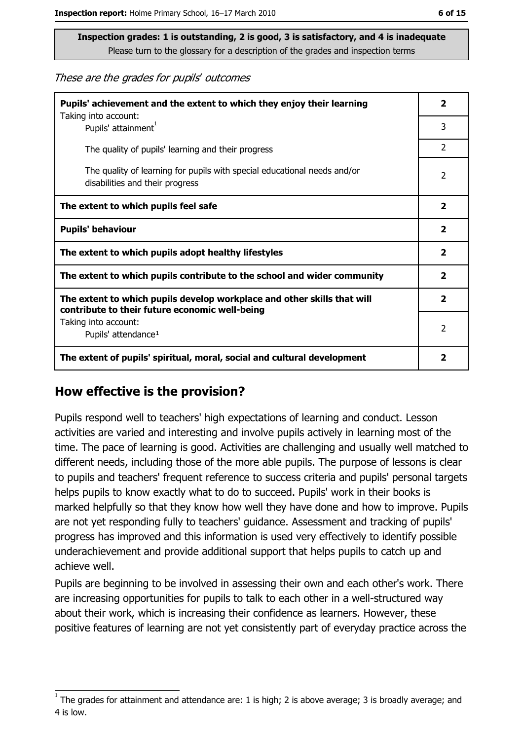These are the grades for pupils' outcomes

| Pupils' achievement and the extent to which they enjoy their learning                                                     |                         |  |
|---------------------------------------------------------------------------------------------------------------------------|-------------------------|--|
| Taking into account:<br>Pupils' attainment <sup>1</sup>                                                                   | 3                       |  |
| The quality of pupils' learning and their progress                                                                        | $\overline{2}$          |  |
| The quality of learning for pupils with special educational needs and/or<br>disabilities and their progress               |                         |  |
| The extent to which pupils feel safe                                                                                      |                         |  |
| <b>Pupils' behaviour</b>                                                                                                  |                         |  |
| The extent to which pupils adopt healthy lifestyles                                                                       | $\overline{\mathbf{2}}$ |  |
| The extent to which pupils contribute to the school and wider community                                                   |                         |  |
| The extent to which pupils develop workplace and other skills that will<br>contribute to their future economic well-being |                         |  |
| Taking into account:<br>Pupils' attendance <sup>1</sup>                                                                   |                         |  |
| The extent of pupils' spiritual, moral, social and cultural development                                                   |                         |  |

#### How effective is the provision?

Pupils respond well to teachers' high expectations of learning and conduct. Lesson activities are varied and interesting and involve pupils actively in learning most of the time. The pace of learning is good. Activities are challenging and usually well matched to different needs, including those of the more able pupils. The purpose of lessons is clear to pupils and teachers' frequent reference to success criteria and pupils' personal targets helps pupils to know exactly what to do to succeed. Pupils' work in their books is marked helpfully so that they know how well they have done and how to improve. Pupils are not yet responding fully to teachers' guidance. Assessment and tracking of pupils' progress has improved and this information is used very effectively to identify possible underachievement and provide additional support that helps pupils to catch up and achieve well.

Pupils are beginning to be involved in assessing their own and each other's work. There are increasing opportunities for pupils to talk to each other in a well-structured way about their work, which is increasing their confidence as learners. However, these positive features of learning are not yet consistently part of everyday practice across the

The grades for attainment and attendance are: 1 is high; 2 is above average; 3 is broadly average; and 4 is low.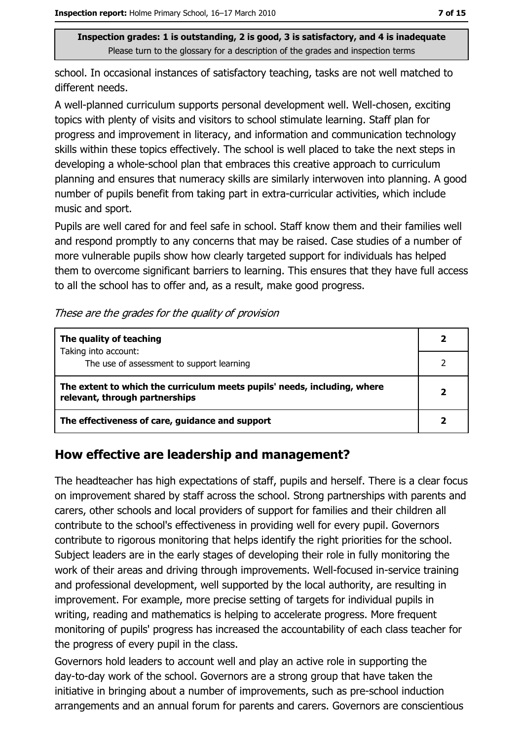school. In occasional instances of satisfactory teaching, tasks are not well matched to different needs.

A well-planned curriculum supports personal development well. Well-chosen, exciting topics with plenty of visits and visitors to school stimulate learning. Staff plan for progress and improvement in literacy, and information and communication technology skills within these topics effectively. The school is well placed to take the next steps in developing a whole-school plan that embraces this creative approach to curriculum planning and ensures that numeracy skills are similarly interwoven into planning. A good number of pupils benefit from taking part in extra-curricular activities, which include music and sport.

Pupils are well cared for and feel safe in school. Staff know them and their families well and respond promptly to any concerns that may be raised. Case studies of a number of more vulnerable pupils show how clearly targeted support for individuals has helped them to overcome significant barriers to learning. This ensures that they have full access to all the school has to offer and, as a result, make good progress.

|  | These are the grades for the quality of provision |  |  |  |
|--|---------------------------------------------------|--|--|--|
|--|---------------------------------------------------|--|--|--|

| The quality of teaching                                                                                    |  |
|------------------------------------------------------------------------------------------------------------|--|
| Taking into account:<br>The use of assessment to support learning                                          |  |
| The extent to which the curriculum meets pupils' needs, including, where<br>relevant, through partnerships |  |
| The effectiveness of care, guidance and support                                                            |  |

#### How effective are leadership and management?

The headteacher has high expectations of staff, pupils and herself. There is a clear focus on improvement shared by staff across the school. Strong partnerships with parents and carers, other schools and local providers of support for families and their children all contribute to the school's effectiveness in providing well for every pupil. Governors contribute to rigorous monitoring that helps identify the right priorities for the school. Subject leaders are in the early stages of developing their role in fully monitoring the work of their areas and driving through improvements. Well-focused in-service training and professional development, well supported by the local authority, are resulting in improvement. For example, more precise setting of targets for individual pupils in writing, reading and mathematics is helping to accelerate progress. More frequent monitoring of pupils' progress has increased the accountability of each class teacher for the progress of every pupil in the class.

Governors hold leaders to account well and play an active role in supporting the day-to-day work of the school. Governors are a strong group that have taken the initiative in bringing about a number of improvements, such as pre-school induction arrangements and an annual forum for parents and carers. Governors are conscientious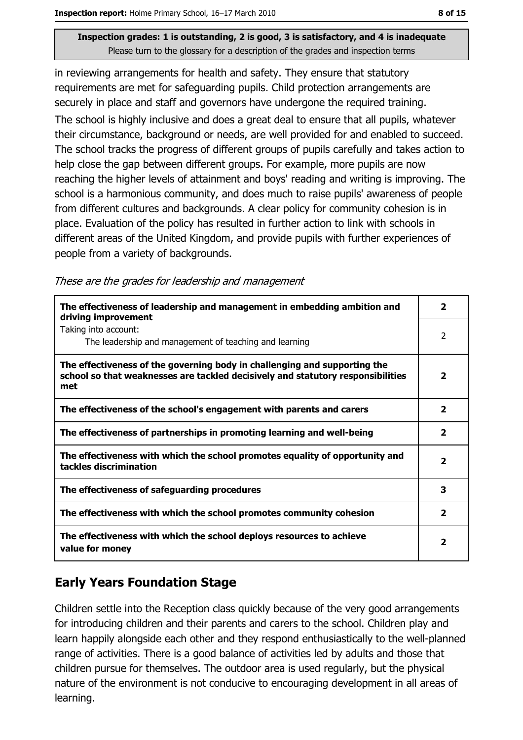in reviewing arrangements for health and safety. They ensure that statutory requirements are met for safequarding pupils. Child protection arrangements are securely in place and staff and governors have undergone the required training.

The school is highly inclusive and does a great deal to ensure that all pupils, whatever their circumstance, background or needs, are well provided for and enabled to succeed. The school tracks the progress of different groups of pupils carefully and takes action to help close the gap between different groups. For example, more pupils are now reaching the higher levels of attainment and boys' reading and writing is improving. The school is a harmonious community, and does much to raise pupils' awareness of people from different cultures and backgrounds. A clear policy for community cohesion is in place. Evaluation of the policy has resulted in further action to link with schools in different areas of the United Kingdom, and provide pupils with further experiences of people from a variety of backgrounds.

These are the grades for leadership and management

| The effectiveness of leadership and management in embedding ambition and<br>driving improvement                                                                     | 2                       |
|---------------------------------------------------------------------------------------------------------------------------------------------------------------------|-------------------------|
| Taking into account:<br>The leadership and management of teaching and learning                                                                                      | $\overline{2}$          |
| The effectiveness of the governing body in challenging and supporting the<br>school so that weaknesses are tackled decisively and statutory responsibilities<br>met | $\mathbf{2}$            |
| The effectiveness of the school's engagement with parents and carers                                                                                                | $\overline{\mathbf{2}}$ |
| The effectiveness of partnerships in promoting learning and well-being                                                                                              | $\overline{2}$          |
| The effectiveness with which the school promotes equality of opportunity and<br>tackles discrimination                                                              | 2                       |
| The effectiveness of safeguarding procedures                                                                                                                        | 3                       |
| The effectiveness with which the school promotes community cohesion                                                                                                 | $\mathbf{2}$            |
| The effectiveness with which the school deploys resources to achieve<br>value for money                                                                             |                         |

## **Early Years Foundation Stage**

Children settle into the Reception class quickly because of the very good arrangements for introducing children and their parents and carers to the school. Children play and learn happily alongside each other and they respond enthusiastically to the well-planned range of activities. There is a good balance of activities led by adults and those that children pursue for themselves. The outdoor area is used regularly, but the physical nature of the environment is not conducive to encouraging development in all areas of learning.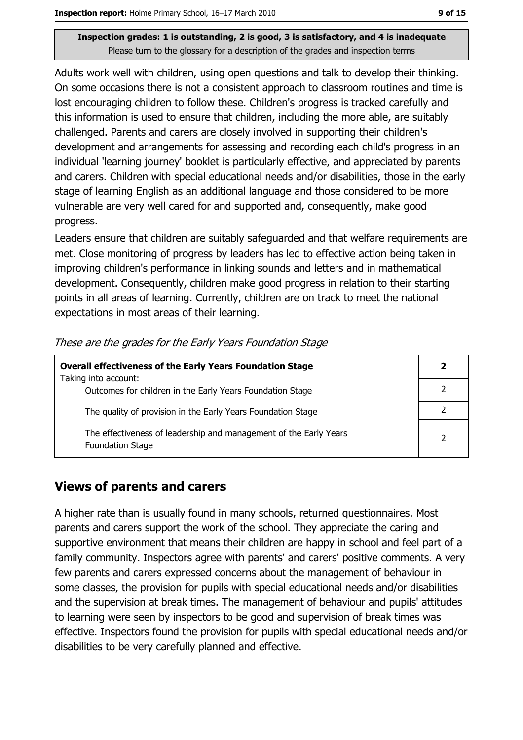Adults work well with children, using open questions and talk to develop their thinking. On some occasions there is not a consistent approach to classroom routines and time is lost encouraging children to follow these. Children's progress is tracked carefully and this information is used to ensure that children, including the more able, are suitably challenged. Parents and carers are closely involved in supporting their children's development and arrangements for assessing and recording each child's progress in an individual 'learning journey' booklet is particularly effective, and appreciated by parents and carers. Children with special educational needs and/or disabilities, those in the early stage of learning English as an additional language and those considered to be more vulnerable are very well cared for and supported and, consequently, make good progress.

Leaders ensure that children are suitably safeguarded and that welfare requirements are met. Close monitoring of progress by leaders has led to effective action being taken in improving children's performance in linking sounds and letters and in mathematical development. Consequently, children make good progress in relation to their starting points in all areas of learning. Currently, children are on track to meet the national expectations in most areas of their learning.

| <b>Overall effectiveness of the Early Years Foundation Stage</b>                             |  |  |
|----------------------------------------------------------------------------------------------|--|--|
| Taking into account:                                                                         |  |  |
| Outcomes for children in the Early Years Foundation Stage                                    |  |  |
| The quality of provision in the Early Years Foundation Stage                                 |  |  |
| The effectiveness of leadership and management of the Early Years<br><b>Foundation Stage</b> |  |  |

These are the grades for the Early Years Foundation Stage

#### **Views of parents and carers**

A higher rate than is usually found in many schools, returned questionnaires. Most parents and carers support the work of the school. They appreciate the caring and supportive environment that means their children are happy in school and feel part of a family community. Inspectors agree with parents' and carers' positive comments. A very few parents and carers expressed concerns about the management of behaviour in some classes, the provision for pupils with special educational needs and/or disabilities and the supervision at break times. The management of behaviour and pupils' attitudes to learning were seen by inspectors to be good and supervision of break times was effective. Inspectors found the provision for pupils with special educational needs and/or disabilities to be very carefully planned and effective.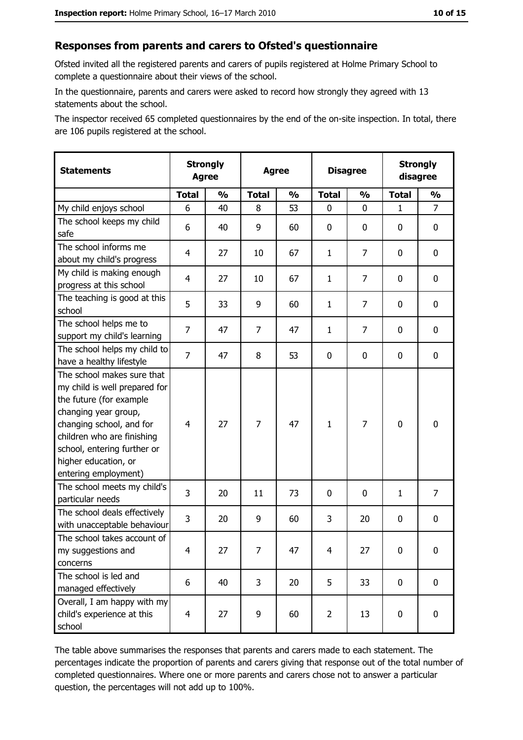#### Responses from parents and carers to Ofsted's questionnaire

Ofsted invited all the registered parents and carers of pupils registered at Holme Primary School to complete a questionnaire about their views of the school.

In the questionnaire, parents and carers were asked to record how strongly they agreed with 13 statements about the school.

The inspector received 65 completed questionnaires by the end of the on-site inspection. In total, there are 106 pupils registered at the school.

| <b>Statements</b>                                                                                                                                                                                                                                       | <b>Strongly</b><br><b>Agree</b> |               | <b>Agree</b> |               | <b>Disagree</b> |                | <b>Strongly</b><br>disagree |                |
|---------------------------------------------------------------------------------------------------------------------------------------------------------------------------------------------------------------------------------------------------------|---------------------------------|---------------|--------------|---------------|-----------------|----------------|-----------------------------|----------------|
|                                                                                                                                                                                                                                                         | <b>Total</b>                    | $\frac{0}{0}$ | <b>Total</b> | $\frac{0}{0}$ | <b>Total</b>    | $\frac{1}{2}$  | <b>Total</b>                | $\frac{1}{2}$  |
| My child enjoys school                                                                                                                                                                                                                                  | 6                               | 40            | 8            | 53            | 0               | 0              | $\mathbf{1}$                | $\overline{7}$ |
| The school keeps my child<br>safe                                                                                                                                                                                                                       | 6                               | 40            | 9            | 60            | $\mathbf 0$     | 0              | 0                           | $\mathbf 0$    |
| The school informs me<br>about my child's progress                                                                                                                                                                                                      | 4                               | 27            | 10           | 67            | $\mathbf{1}$    | $\overline{7}$ | 0                           | 0              |
| My child is making enough<br>progress at this school                                                                                                                                                                                                    | 4                               | 27            | 10           | 67            | $\mathbf{1}$    | $\overline{7}$ | 0                           | $\bf{0}$       |
| The teaching is good at this<br>school                                                                                                                                                                                                                  | 5                               | 33            | 9            | 60            | $\mathbf{1}$    | 7              | 0                           | 0              |
| The school helps me to<br>support my child's learning                                                                                                                                                                                                   | $\overline{7}$                  | 47            | 7            | 47            | $\mathbf{1}$    | 7              | 0                           | 0              |
| The school helps my child to<br>have a healthy lifestyle                                                                                                                                                                                                | $\overline{7}$                  | 47            | 8            | 53            | $\mathbf 0$     | 0              | 0                           | $\mathbf 0$    |
| The school makes sure that<br>my child is well prepared for<br>the future (for example<br>changing year group,<br>changing school, and for<br>children who are finishing<br>school, entering further or<br>higher education, or<br>entering employment) | $\overline{4}$                  | 27            | 7            | 47            | $\mathbf{1}$    | $\overline{7}$ | $\mathbf 0$                 | $\mathbf 0$    |
| The school meets my child's<br>particular needs                                                                                                                                                                                                         | 3                               | 20            | 11           | 73            | $\mathbf 0$     | 0              | 1                           | $\overline{7}$ |
| The school deals effectively<br>with unacceptable behaviour                                                                                                                                                                                             | 3                               | 20            | 9            | 60            | 3               | 20             | 0                           | 0              |
| The school takes account of<br>my suggestions and<br>concerns                                                                                                                                                                                           | 4                               | 27            | 7            | 47            | $\overline{4}$  | 27             | 0                           | $\bf{0}$       |
| The school is led and<br>managed effectively                                                                                                                                                                                                            | 6                               | 40            | 3            | 20            | 5               | 33             | $\mathbf 0$                 | 0              |
| Overall, I am happy with my<br>child's experience at this<br>school                                                                                                                                                                                     | 4                               | 27            | 9            | 60            | $\overline{2}$  | 13             | $\mathbf 0$                 | 0              |

The table above summarises the responses that parents and carers made to each statement. The percentages indicate the proportion of parents and carers giving that response out of the total number of completed questionnaires. Where one or more parents and carers chose not to answer a particular question, the percentages will not add up to 100%.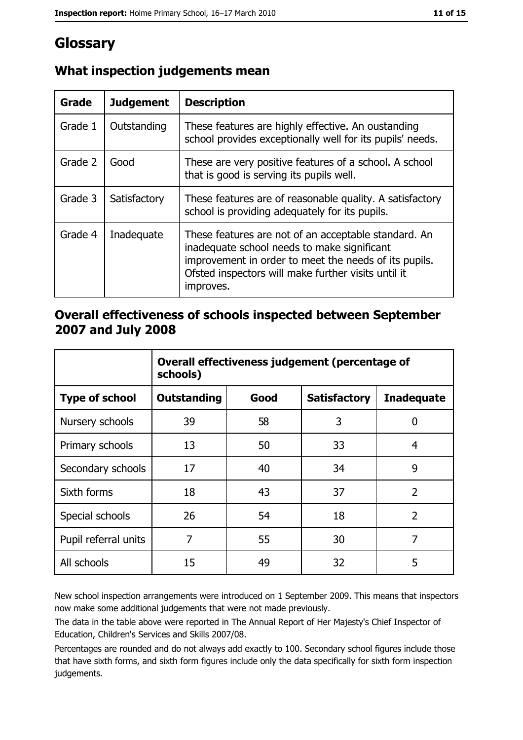# Glossary

| Grade   | <b>Judgement</b> | <b>Description</b>                                                                                                                                                                                                               |  |
|---------|------------------|----------------------------------------------------------------------------------------------------------------------------------------------------------------------------------------------------------------------------------|--|
| Grade 1 | Outstanding      | These features are highly effective. An oustanding<br>school provides exceptionally well for its pupils' needs.                                                                                                                  |  |
| Grade 2 | Good             | These are very positive features of a school. A school<br>that is good is serving its pupils well.                                                                                                                               |  |
| Grade 3 | Satisfactory     | These features are of reasonable quality. A satisfactory<br>school is providing adequately for its pupils.                                                                                                                       |  |
| Grade 4 | Inadequate       | These features are not of an acceptable standard. An<br>inadequate school needs to make significant<br>improvement in order to meet the needs of its pupils.<br>Ofsted inspectors will make further visits until it<br>improves. |  |

## What inspection judgements mean

### Overall effectiveness of schools inspected between September 2007 and July 2008

|                       | Overall effectiveness judgement (percentage of<br>schools) |      |                     |                   |
|-----------------------|------------------------------------------------------------|------|---------------------|-------------------|
| <b>Type of school</b> | Outstanding                                                | Good | <b>Satisfactory</b> | <b>Inadequate</b> |
| Nursery schools       | 39                                                         | 58   | 3                   | 0                 |
| Primary schools       | 13                                                         | 50   | 33                  | 4                 |
| Secondary schools     | 17                                                         | 40   | 34                  | 9                 |
| Sixth forms           | 18                                                         | 43   | 37                  | $\overline{2}$    |
| Special schools       | 26                                                         | 54   | 18                  | $\overline{2}$    |
| Pupil referral units  | 7                                                          | 55   | 30                  | 7                 |
| All schools           | 15                                                         | 49   | 32                  | 5                 |

New school inspection arrangements were introduced on 1 September 2009. This means that inspectors now make some additional judgements that were not made previously.

The data in the table above were reported in The Annual Report of Her Majesty's Chief Inspector of Education, Children's Services and Skills 2007/08.

Percentages are rounded and do not always add exactly to 100. Secondary school figures include those that have sixth forms, and sixth form figures include only the data specifically for sixth form inspection judgements.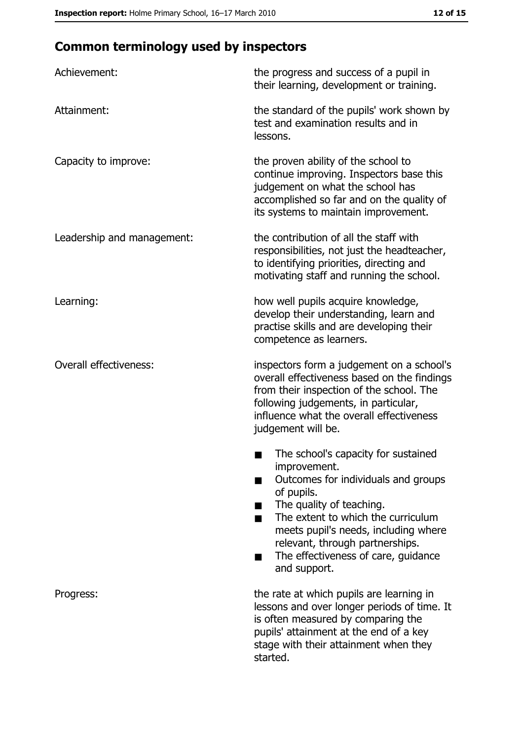# **Common terminology used by inspectors**

| Achievement:                  | the progress and success of a pupil in<br>their learning, development or training.                                                                                                                                                                                                                           |
|-------------------------------|--------------------------------------------------------------------------------------------------------------------------------------------------------------------------------------------------------------------------------------------------------------------------------------------------------------|
| Attainment:                   | the standard of the pupils' work shown by<br>test and examination results and in<br>lessons.                                                                                                                                                                                                                 |
| Capacity to improve:          | the proven ability of the school to<br>continue improving. Inspectors base this<br>judgement on what the school has<br>accomplished so far and on the quality of<br>its systems to maintain improvement.                                                                                                     |
| Leadership and management:    | the contribution of all the staff with<br>responsibilities, not just the headteacher,<br>to identifying priorities, directing and<br>motivating staff and running the school.                                                                                                                                |
| Learning:                     | how well pupils acquire knowledge,<br>develop their understanding, learn and<br>practise skills and are developing their<br>competence as learners.                                                                                                                                                          |
| <b>Overall effectiveness:</b> | inspectors form a judgement on a school's<br>overall effectiveness based on the findings<br>from their inspection of the school. The<br>following judgements, in particular,<br>influence what the overall effectiveness<br>judgement will be.                                                               |
|                               | The school's capacity for sustained<br>improvement.<br>Outcomes for individuals and groups<br>of pupils.<br>The quality of teaching.<br>The extent to which the curriculum<br>meets pupil's needs, including where<br>relevant, through partnerships.<br>The effectiveness of care, guidance<br>and support. |
| Progress:                     | the rate at which pupils are learning in<br>lessons and over longer periods of time. It<br>is often measured by comparing the<br>pupils' attainment at the end of a key<br>stage with their attainment when they<br>started.                                                                                 |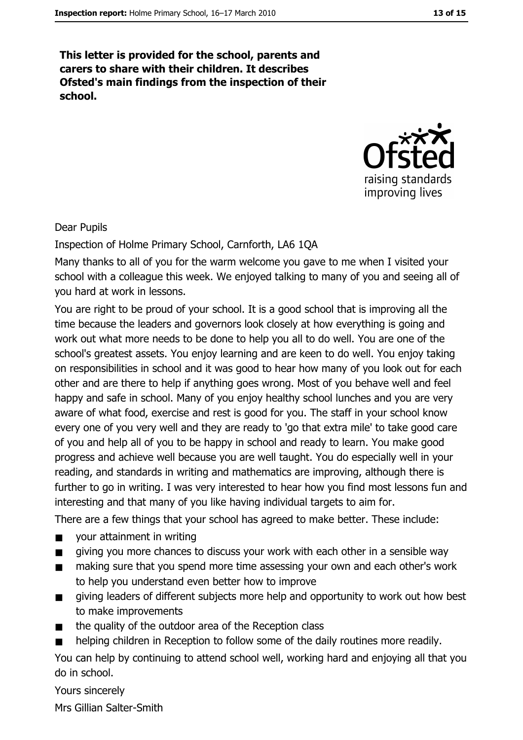This letter is provided for the school, parents and carers to share with their children. It describes Ofsted's main findings from the inspection of their school.



#### **Dear Pupils**

Inspection of Holme Primary School, Carnforth, LA6 1QA

Many thanks to all of you for the warm welcome you gave to me when I visited your school with a colleague this week. We enjoyed talking to many of you and seeing all of you hard at work in lessons.

You are right to be proud of your school. It is a good school that is improving all the time because the leaders and governors look closely at how everything is going and work out what more needs to be done to help you all to do well. You are one of the school's greatest assets. You enjoy learning and are keen to do well. You enjoy taking on responsibilities in school and it was good to hear how many of you look out for each other and are there to help if anything goes wrong. Most of you behave well and feel happy and safe in school. Many of you enjoy healthy school lunches and you are very aware of what food, exercise and rest is good for you. The staff in your school know every one of you very well and they are ready to 'go that extra mile' to take good care of you and help all of you to be happy in school and ready to learn. You make good progress and achieve well because you are well taught. You do especially well in your reading, and standards in writing and mathematics are improving, although there is further to go in writing. I was very interested to hear how you find most lessons fun and interesting and that many of you like having individual targets to aim for.

There are a few things that your school has agreed to make better. These include:

- vour attainment in writing  $\blacksquare$
- giving you more chances to discuss your work with each other in a sensible way  $\blacksquare$
- making sure that you spend more time assessing your own and each other's work  $\blacksquare$ to help you understand even better how to improve
- giving leaders of different subjects more help and opportunity to work out how best  $\blacksquare$ to make improvements
- the quality of the outdoor area of the Reception class  $\blacksquare$
- helping children in Reception to follow some of the daily routines more readily.

You can help by continuing to attend school well, working hard and enjoying all that you do in school.

Yours sincerely

Mrs Gillian Salter-Smith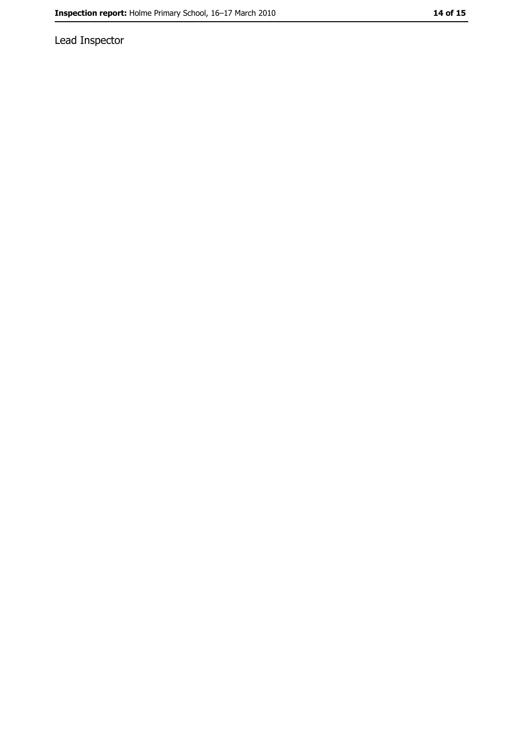Lead Inspector